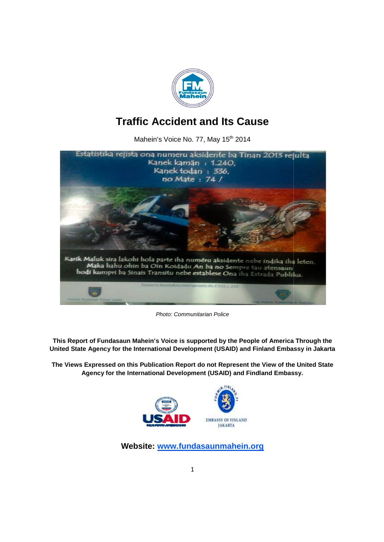

# **Traffic Accident and Its Cause**

Mahein's Voice No. 77, May 15<sup>th</sup> 2014



*Photo: Communitarian Police*

**This Report of Fundasaun Mahein's Voice is supported by the People of America Through the**  This Report of Fundasaun Mahein's Voice is supported by the People of America Through the<br>United State Agency for the International Development (USAID) and Finland Embassy in Jakarta

**The Views Expressed on this Publication Report do not Represent the View of the United State Agency for the International Development (USAID) and Findland Embassy. Views not Agency International Development** 



Website: www.fundasaunmahein.org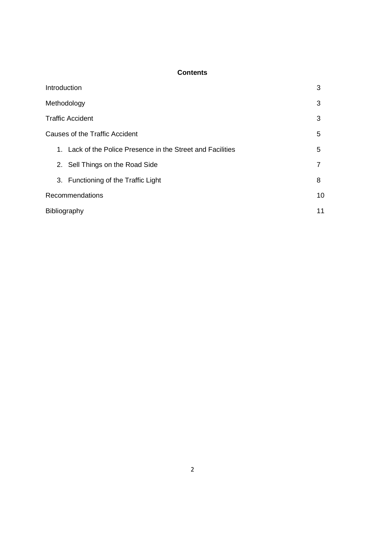# **Contents**

| Introduction                                                | 3  |
|-------------------------------------------------------------|----|
| Methodology                                                 | 3  |
| <b>Traffic Accident</b>                                     | 3  |
| <b>Causes of the Traffic Accident</b>                       | 5  |
| 1. Lack of the Police Presence in the Street and Facilities | 5  |
| 2. Sell Things on the Road Side                             |    |
| 3. Functioning of the Traffic Light                         | 8  |
| Recommendations                                             | 10 |
| Bibliography                                                | 11 |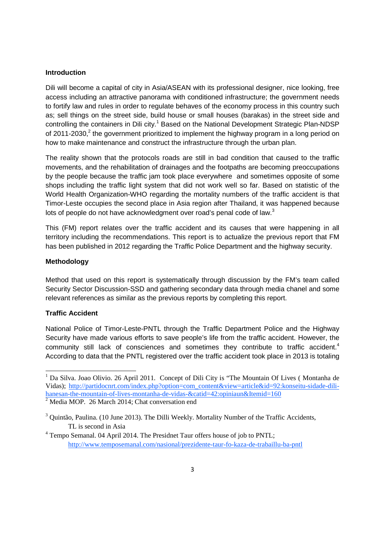#### **Introduction**

Dili will become a capital of city in Asia/ASEAN with its professional designer, nice looking, free access including an attractive panorama with conditioned infrastructure; the government needs to fortify law and rules in order to regulate behaves of the economy process in this country such as; sell things on the street side, build house or small houses (barakas) in the street side and controlling the containers in Dili city.<sup>1</sup> Based on the National Development Strategic Plan-NDSP of 2011-2030, $^{2}$  the government prioritized to implement the highway program in a long period on how to make maintenance and construct the infrastructure through the urban plan.

The reality shown that the protocols roads are still in bad condition that caused to the traffic movements, and the rehabilitation of drainages and the footpaths are becoming preoccupations by the people because the traffic jam took place everywhere and sometimes opposite of some shops including the traffic light system that did not work well so far. Based on statistic of the World Health Organization-WHO regarding the mortality numbers of the traffic accident is that Timor-Leste occupies the second place in Asia region after Thailand, it was happened because lots of people do not have acknowledgment over road's penal code of law. $^3$ 

This (FM) report relates over the traffic accident and its causes that were happening in all territory including the recommendations. This report is to actualize the previous report that FM has been published in 2012 regarding the Traffic Police Department and the highway security.

#### **Methodology**

Method that used on this report is systematically through discussion by the FM's team called Security Sector Discussion-SSD and gathering secondary data through media chanel and some relevant references as similar as the previous reports by completing this report.

## **Traffic Accident**

National Police of Timor-Leste-PNTL through the Traffic Department Police and the Highway Security have made various efforts to save people's life from the traffic accident. However, the community still lack of consciences and sometimes they contribute to traffic accident.<sup>4</sup> According to data that the PNTL registered over the traffic accident took place in 2013 is totaling

<sup>&</sup>lt;sup>1</sup> Da Silva. Joao Olivio. 26 April 2011. Concept of Dili City is "The Mountain Of Lives (Montanha de Vidas); http://partidocnrt.com/index.php?option=com\_content&view=article&id=92:konseitu-sidade-dilihanesan-the-mountain-of-lives-montanha-de-vidas-&catid=42:opiniaun&Itemid=160  $2^{\circ}$  Media MOP. 26 March 2014; Chat conversation end

<sup>&</sup>lt;sup>3</sup> Quintão, Paulina. (10 June 2013). The Dilli Weekly. Mortality Number of the Traffic Accidents, TL is second in Asia

<sup>&</sup>lt;sup>4</sup> Tempo Semanal. 04 April 2014. The Presidnet Taur offers house of job to PNTL; http://www.temposemanal.com/nasional/prezidente-taur-fo-kaza-de-trabaillu-ba-pntl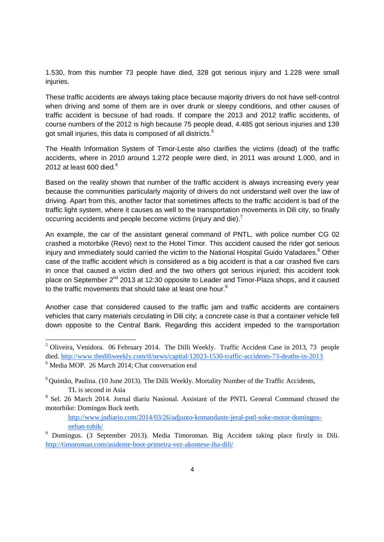1.530, from this number 73 people have died, 328 got serious injury and 1.228 were small injuries.

These traffic accidents are always taking place because majority drivers do not have self-control when driving and some of them are in over drunk or sleepy conditions, and other causes of traffic accident is becsuse of bad roads. If compare the 2013 and 2012 traffic accidents, of course numbers of the 2012 is high because 75 people dead, 4.485 got serious injuries and 139 got small injuries, this data is composed of all districts.<sup>5</sup>

The Health Information System of Timor-Leste also clarifies the victims (dead) of the traffic accidents, where in 2010 around 1.272 people were died, in 2011 was around 1.000, and in 2012 at least 600 died. $^{\rm 6}$ 

Based on the reality shown that number of the traffic accident is always increasing every year because the communities particularly majority of drivers do not understand well over the law of driving. Apart from this, another factor that sometimes affects to the traffic accident is bad of the traffic light system, where it causes as well to the transportation movements in Dili city, so finally occurring accidents and people become victims (injury and die).<sup>7</sup>

An example, the car of the assistant general command of PNTL, with police number CG 02 crashed a motorbike (Revo) next to the Hotel Timor. This accident caused the rider got serious injury and immediately sould carried the victim to the National Hospital Guido Valadares.<sup>8</sup> Other case of the traffic accident which is considered as a big accident is that a car crashed five cars in once that caused a victim died and the two others got serious injuried; this accident took place on September 2<sup>nd</sup> 2013 at 12:30 opposite to Leader and Timor-Plaza shops, and it caused to the traffic movements that should take at least one hour.<sup>9</sup>

Another case that considered caused to the traffic jam and traffic accidents are containers vehicles that carry materials circulating in Dili city; a concrete case is that a container vehicle fell down opposite to the Central Bank. Regarding this accident impeded to the transportation

http://www.jndiario.com/2014/03/26/adjunto-komandante-jeral-pntl-soke-motor-domingosnehan-tohik/

<sup>5</sup> Oliveira, Venidora. 06 February 2014. The Dilli Weekly. Traffic Accident Case in 2013, 73 people died. http://www.thediliweekly.com/tl/news/capital/12023-1530-traffic-accidents-73-deaths-in-2013 <sup>6</sup> Media MOP. 26 March 2014; Chat conversation end

 $6$  Quintão, Paulina. (10 June 2013). The Dilli Weekly. Mortality Number of the Traffic Accidents, TL is second in Asia

<sup>&</sup>lt;sup>8</sup> Sel. 26 March 2014. Jornal diariu Nasional. Assistant of the PNTL General Command chrased the motorbike: Domingos Buck teeth.

<sup>9</sup> Domingus. (3 September 2013). Media Timoroman. Big Accident taking place firstly in Dili. http://timoroman.com/asidente-boot-primeira-vez-akontese-iha-dili/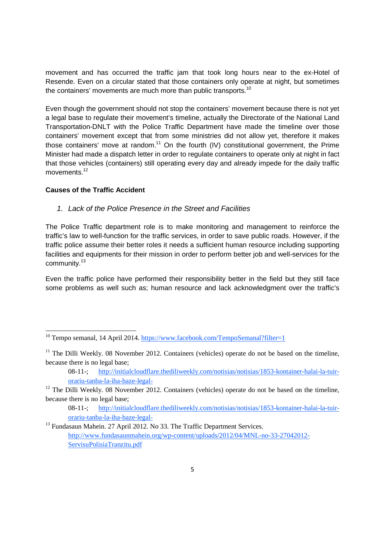movement and has occurred the traffic jam that took long hours near to the ex-Hotel of Resende. Even on a circular stated that those containers only operate at night, but sometimes the containers' movements are much more than public transports.<sup>10</sup>

Even though the government should not stop the containers' movement because there is not yet a legal base to regulate their movement's timeline, actually the Directorate of the National Land Transportation-DNLT with the Police Traffic Department have made the timeline over those containers' movement except that from some ministries did not allow yet, therefore it makes those containers' move at random.<sup>11</sup> On the fourth (IV) constitutional government, the Prime Minister had made a dispatch letter in order to regulate containers to operate only at night in fact that those vehicles (containers) still operating every day and already impede for the daily traffic movements.<sup>12</sup>

# **Causes of the Traffic Accident**

## *1. Lack of the Police Presence in the Street and Facilities*

The Police Traffic department role is to make monitoring and management to reinforce the traffic's law to well-function for the traffic services, in order to save public roads. However, if the traffic police assume their better roles it needs a sufficient human resource including supporting facilities and equipments for their mission in order to perform better job and well-services for the community.<sup>13</sup>

Even the traffic police have performed their responsibility better in the field but they still face some problems as well such as; human resource and lack acknowledgment over the traffic's

<sup>&</sup>lt;sup>10</sup> Tempo semanal, 14 April 2014. https://www.facebook.com/TempoSemanal?filter=1

 $11$  The Dilli Weekly. 08 November 2012. Containers (vehicles) operate do not be based on the timeline, because there is no legal base;

<sup>08-11-;</sup> http://initialcloudflare.thediliweekly.com/notisias/notisias/1853-kontainer-halai-la-tuirorariu-tanba-la-iha-baze-legal-

<sup>&</sup>lt;sup>12</sup> The Dilli Weekly. 08 November 2012. Containers (vehicles) operate do not be based on the timeline, because there is no legal base;

<sup>08-11-;</sup> http://initialcloudflare.thediliweekly.com/notisias/notisias/1853-kontainer-halai-la-tuirorariu-tanba-la-iha-baze-legal-

<sup>&</sup>lt;sup>13</sup> Fundasaun Mahein. 27 April 2012. No 33. The Traffic Department Services. http://www.fundasaunmahein.org/wp-content/uploads/2012/04/MNL-no-33-27042012- ServisuPolisiaTranzitu.pdf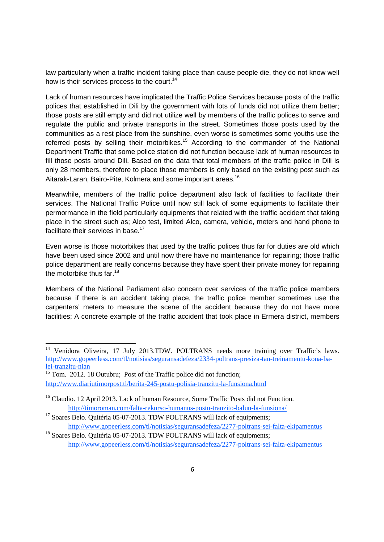law particularly when a traffic incident taking place than cause people die, they do not know well how is their services process to the court.<sup>14</sup>

Lack of human resources have implicated the Traffic Police Services because posts of the traffic polices that established in Dili by the government with lots of funds did not utilize them better; those posts are still empty and did not utilize well by members of the traffic polices to serve and regulate the public and private transports in the street. Sometimes those posts used by the communities as a rest place from the sunshine, even worse is sometimes some youths use the referred posts by selling their motorbikes.<sup>15</sup> According to the commander of the National Department Traffic that some police station did not function because lack of human resources to fill those posts around Dili. Based on the data that total members of the traffic police in Dili is only 28 members, therefore to place those members is only based on the existing post such as Aitarak-Laran, Bairo-Pite, Kolmera and some important areas.<sup>16</sup>

Meanwhile, members of the traffic police department also lack of facilities to facilitate their services. The National Traffic Police until now still lack of some equipments to facilitate their permormance in the field particularly equipments that related with the traffic accident that taking place in the street such as; Alco test, limited Alco, camera, vehicle, meters and hand phone to facilitate their services in base.<sup>17</sup>

Even worse is those motorbikes that used by the traffic polices thus far for duties are old which have been used since 2002 and until now there have no maintenance for repairing; those traffic police department are really concerns because they have spent their private money for repairing the motorbike thus far.<sup>18</sup>

Members of the National Parliament also concern over services of the traffic police members because if there is an accident taking place, the traffic police member sometimes use the carpenters' meters to measure the scene of the accident because they do not have more facilities; A concrete example of the traffic accident that took place in Ermera district, members

<sup>15</sup> Tom. 2012. 18 Outubru; Post of the Traffic police did not function; http://www.diariutimorpost.tl/berita-245-postu-polisia-tranzitu-la-funsiona.html

<sup>&</sup>lt;sup>14</sup> Venidora Oliveira, 17 July 2013.TDW. POLTRANS needs more training over Traffic's laws. http://www.gopeerless.com/tl/notisias/seguransadefeza/2334-poltrans-presiza-tan-treinamentu-kona-balei-tranzitu-nian

<sup>&</sup>lt;sup>16</sup> Claudio. 12 April 2013. Lack of human Resource, Some Traffic Posts did not Function. http://timoroman.com/falta-rekurso-humanus-postu-tranzito-balun-la-funsiona/

<sup>&</sup>lt;sup>17</sup> Soares Belo. Quitéria 05-07-2013. TDW POLTRANS will lack of equipments; http://www.gopeerless.com/tl/notisias/seguransadefeza/2277-poltrans-sei-falta-ekipamentus

<sup>&</sup>lt;sup>18</sup> Soares Belo. Quitéria 05-07-2013. TDW POLTRANS will lack of equipments; http://www.gopeerless.com/tl/notisias/seguransadefeza/2277-poltrans-sei-falta-ekipamentus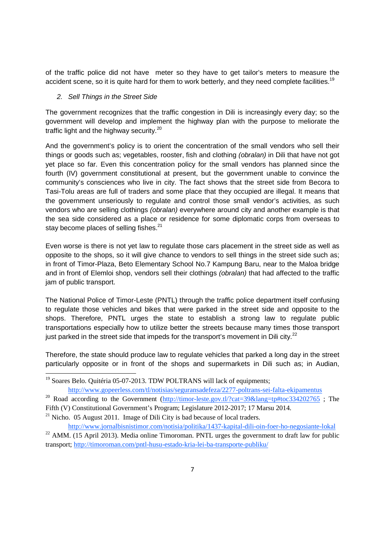of the traffic police did not have meter so they have to get tailor's meters to measure the accident scene, so it is quite hard for them to work betterly, and they need complete facilities.<sup>19</sup>

## *2. Sell Things in the Street Side*

The government recognizes that the traffic congestion in Dili is increasingly every day; so the government will develop and implement the highway plan with the purpose to meliorate the traffic light and the highway security.<sup>20</sup>

And the government's policy is to orient the concentration of the small vendors who sell their things or goods such as; vegetables, rooster, fish and clothing *(obralan)* in Dili that have not got yet place so far. Even this concentration policy for the small vendors has planned since the fourth (IV) government constitutional at present, but the government unable to convince the community's consciences who live in city. The fact shows that the street side from Becora to Tasi-Tolu areas are full of traders and some place that they occupied are illegal. It means that the government unseriously to regulate and control those small vendor's activities, as such vendors who are selling clothings *(obralan)* everywhere around city and another example is that the sea side considered as a place or residence for some diplomatic corps from overseas to stay become places of selling fishes.<sup>21</sup>

Even worse is there is not yet law to regulate those cars placement in the street side as well as opposite to the shops, so it will give chance to vendors to sell things in the street side such as; in front of Timor-Plaza, Beto Elementary School No.7 Kampung Baru, near to the Maloa bridge and in front of Elemloi shop, vendors sell their clothings *(obralan)* that had affected to the traffic jam of public transport.

The National Police of Timor-Leste (PNTL) through the traffic police department itself confusing to regulate those vehicles and bikes that were parked in the street side and opposite to the shops. Therefore, PNTL urges the state to establish a strong law to regulate public transportations especially how to utilize better the streets because many times those transport just parked in the street side that impeds for the transport's movement in Dili city. $^{22}$ 

Therefore, the state should produce law to regulate vehicles that parked a long day in the street particularly opposite or in front of the shops and supermarkets in Dili such as; in Audian,

Fifth (V) Constitutional Government's Program; Legislature 2012-2017; 17 Marsu 2014.

 $^{21}$  Nicho. 05 August 2011. Image of Dili City is bad because of local traders.

<sup>&</sup>lt;sup>19</sup> Soares Belo. Quitéria 05-07-2013. TDW POLTRANS will lack of equipments; http://www.gopeerless.com/tl/notisias/seguransadefeza/2277-poltrans-sei-falta-ekipamentus

<sup>&</sup>lt;sup>20</sup> Road according to the Government (http://timor-leste.gov.tl/?cat=39&lang=tp#toc334202765 ; The

http://www.jornalbisnistimor.com/notisia/politika/1437-kapital-dili-oin-foer-ho-negosiante-lokal  $^{22}$  AMM. (15 April 2013). Media online Timoroman. PNTL urges the government to draft law for public transport; http://timoroman.com/pntl-husu-estado-kria-lei-ba-transporte-publiku/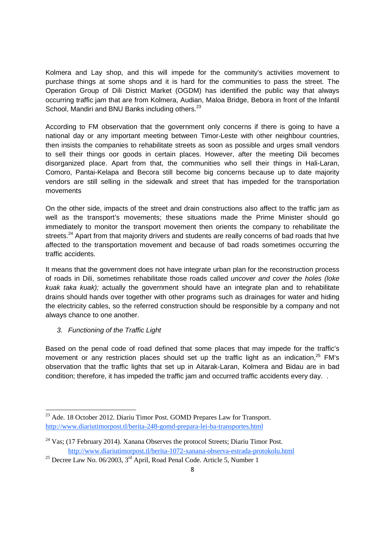Kolmera and Lay shop, and this will impede for the community's activities movement to purchase things at some shops and it is hard for the communities to pass the street. The Operation Group of Dili District Market (OGDM) has identified the public way that always occurring traffic jam that are from Kolmera, Audian, Maloa Bridge, Bebora in front of the Infantil School, Mandiri and BNU Banks including others.<sup>23</sup>

According to FM observation that the government only concerns if there is going to have a national day or any important meeting between Timor-Leste with other neighbour countries, then insists the companies to rehabilitate streets as soon as possible and urges small vendors to sell their things oor goods in certain places. However, after the meeting Dili becomes disorganized place. Apart from that, the communities who sell their things in Hali-Laran, Comoro, Pantai-Kelapa and Becora still become big concerns because up to date majority vendors are still selling in the sidewalk and street that has impeded for the transportation movements

On the other side, impacts of the street and drain constructions also affect to the traffic jam as well as the transport's movements; these situations made the Prime Minister should go immediately to monitor the transport movement then orients the company to rehabilitate the streets.<sup>24</sup> Apart from that majority drivers and students are really concerns of bad roads that hve affected to the transportation movement and because of bad roads sometimes occurring the traffic accidents.

It means that the government does not have integrate urban plan for the reconstruction process of roads in Dili, sometimes rehabilitate those roads called *uncover and cover the holes (loke kuak taka kuak);* actually the government should have an integrate plan and to rehabilitate drains should hands over together with other programs such as drainages for water and hiding the electricity cables, so the referred construction should be responsible by a company and not always chance to one another.

# *3. Functioning of the Traffic Light*

Based on the penal code of road defined that some places that may impede for the traffic's movement or any restriction places should set up the traffic light as an indication, $25$  FM's observation that the traffic lights that set up in Aitarak-Laran, Kolmera and Bidau are in bad condition; therefore, it has impeded the traffic jam and occurred traffic accidents every day. .

 $^{23}$  Ade. 18 October 2012. Diariu Timor Post. GOMD Prepares Law for Transport. http://www.diariutimorpost.tl/berita-248-gomd-prepara-lei-ba-transportes.html

 $24$  Vas; (17 February 2014). Xanana Observes the protocol Streets; Diariu Timor Post. http://www.diariutimorpost.tl/berita-1072-xanana-observa-estrada-protokolu.html

<sup>&</sup>lt;sup>25</sup> Decree Law No. 06/2003,  $3<sup>rd</sup>$  April, Road Penal Code. Article 5, Number 1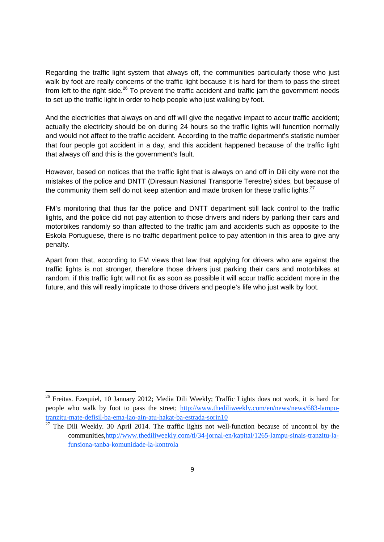Regarding the traffic light system that always off, the communities particularly those who just walk by foot are really concerns of the traffic light because it is hard for them to pass the street from left to the right side. $^{26}$  To prevent the traffic accident and traffic jam the government needs to set up the traffic light in order to help people who just walking by foot.

And the electricities that always on and off will give the negative impact to accur traffic accident; actually the electricity should be on during 24 hours so the traffic lights will funcntion normally and would not affect to the traffic accident. According to the traffic department's statistic number that four people got accident in a day, and this accident happened because of the traffic light that always off and this is the government's fault.

However, based on notices that the traffic light that is always on and off in Dili city were not the mistakes of the police and DNTT (Diresaun Nasional Transporte Terestre) sides, but because of the community them self do not keep attention and made broken for these traffic lights.<sup>27</sup>

FM's monitoring that thus far the police and DNTT department still lack control to the traffic lights, and the police did not pay attention to those drivers and riders by parking their cars and motorbikes randomly so than affected to the traffic jam and accidents such as opposite to the Eskola Portuguese, there is no traffic department police to pay attention in this area to give any penalty.

Apart from that, according to FM views that law that applying for drivers who are against the traffic lights is not stronger, therefore those drivers just parking their cars and motorbikes at random. if this traffic light will not fix as soon as possible it will accur traffic accident more in the future, and this will really implicate to those drivers and people's life who just walk by foot.

<sup>&</sup>lt;sup>26</sup> Freitas. Ezequiel, 10 January 2012; Media Dili Weekly; Traffic Lights does not work, it is hard for people who walk by foot to pass the street; http://www.thediliweekly.com/en/news/news/683-lamputranzitu-mate-defisil-ba-ema-lao-ain-atu-hakat-ba-estrada-sorin10

 $27$  The Dili Weekly. 30 April 2014. The traffic lights not well-function because of uncontrol by the communities,http://www.thediliweekly.com/tl/34-jornal-en/kapital/1265-lampu-sinais-tranzitu-lafunsiona-tanba-komunidade-la-kontrola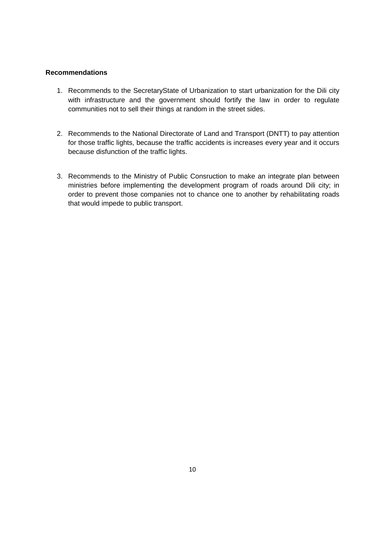### **Recommendations**

- 1. Recommends to the SecretaryState of Urbanization to start urbanization for the Dili city with infrastructure and the government should fortify the law in order to regulate communities not to sell their things at random in the street sides.
- 2. Recommends to the National Directorate of Land and Transport (DNTT) to pay attention for those traffic lights, because the traffic accidents is increases every year and it occurs because disfunction of the traffic lights.
- 3. Recommends to the Ministry of Public Consruction to make an integrate plan between ministries before implementing the development program of roads around Dili city; in order to prevent those companies not to chance one to another by rehabilitating roads that would impede to public transport.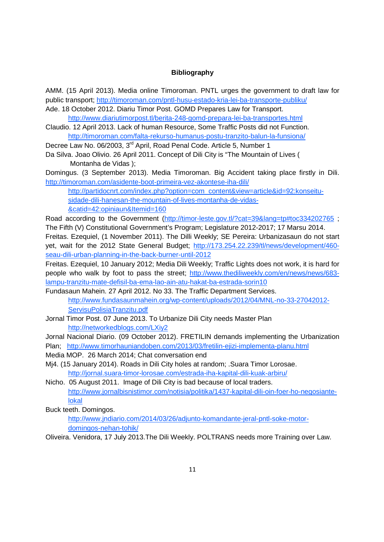### **Bibliography**

AMM. (15 April 2013). Media online Timoroman. PNTL urges the government to draft law for public transport; http://timoroman.com/pntl-husu-estado-kria-lei-ba-transporte-publiku/

Ade. 18 October 2012. Diariu Timor Post. GOMD Prepares Law for Transport. http://www.diariutimorpost.tl/berita-248-gomd-prepara-lei-ba-transportes.html

- Claudio. 12 April 2013. Lack of human Resource, Some Traffic Posts did not Function. http://timoroman.com/falta-rekurso-humanus-postu-tranzito-balun-la-funsiona/
- Decree Law No. 06/2003, 3<sup>rd</sup> April, Road Penal Code, Article 5, Number 1
- Da Silva. Joao Olivio. 26 April 2011. Concept of Dili City is "The Mountain of Lives ( Montanha de Vidas );

Domingus. (3 September 2013). Media Timoroman. Big Accident taking place firstly in Dili. http://timoroman.com/asidente-boot-primeira-vez-akontese-iha-dili/

http://partidocnrt.com/index.php?option=com\_content&view=article&id=92:konseitusidade-dili-hanesan-the-mountain-of-lives-montanha-de-vidas- &catid=42:opiniaun&Itemid=160

Road according to the Government (http://timor-leste.gov.tl/?cat=39&lang=tp#toc334202765 ; The Fifth (V) Constitutional Government's Program; Legislature 2012-2017; 17 Marsu 2014.

Freitas. Ezequiel, (1 November 2011). The Dilli Weekly; SE Pereira: Urbanizasaun do not start yet, wait for the 2012 State General Budget; http://173.254.22.239/tl/news/development/460 seau-dili-urban-planning-in-the-back-burner-until-2012

Freitas. Ezequiel, 10 January 2012; Media Dili Weekly; Traffic Lights does not work, it is hard for people who walk by foot to pass the street; http://www.thediliweekly.com/en/news/news/683 lampu-tranzitu-mate-defisil-ba-ema-lao-ain-atu-hakat-ba-estrada-sorin10

- Fundasaun Mahein. 27 April 2012. No 33. The Traffic Department Services. http://www.fundasaunmahein.org/wp-content/uploads/2012/04/MNL-no-33-27042012- ServisuPolisiaTranzitu.pdf
- Jornal Timor Post. 07 June 2013. To Urbanize Dili City needs Master Plan http://networkedblogs.com/LXiy2
- Jornal Nacional Diario. (09 October 2012). FRETILIN demands implementing the Urbanization
- Plan; http://www.timorhauniandoben.com/2013/03/fretilin-ejizi-implementa-planu.html
- Media MOP. 26 March 2014; Chat conversation end
- Mj4. (15 January 2014). Roads in Dili City holes at random; .Suara Timor Lorosae. http://jornal.suara-timor-lorosae.com/estrada-iha-kapital-dili-kuak-arbiru/
- Nicho. 05 August 2011. Image of Dili City is bad because of local traders. http://www.jornalbisnistimor.com/notisia/politika/1437-kapital-dili-oin-foer-ho-negosiantelokal

Buck teeth. Domingos.

http://www.jndiario.com/2014/03/26/adjunto-komandante-jeral-pntl-soke-motordomingos-nehan-tohik/

Oliveira. Venidora, 17 July 2013.The Dili Weekly. POLTRANS needs more Training over Law.